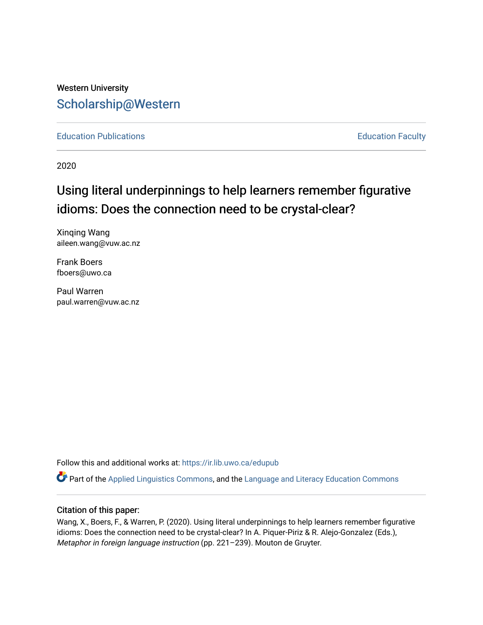# Western University [Scholarship@Western](https://ir.lib.uwo.ca/)

[Education Publications](https://ir.lib.uwo.ca/edupub) **Education** Faculty

2020

# Using literal underpinnings to help learners remember figurative idioms: Does the connection need to be crystal-clear?

Xinqing Wang aileen.wang@vuw.ac.nz

Frank Boers fboers@uwo.ca

Paul Warren paul.warren@vuw.ac.nz

Follow this and additional works at: [https://ir.lib.uwo.ca/edupub](https://ir.lib.uwo.ca/edupub?utm_source=ir.lib.uwo.ca%2Fedupub%2F284&utm_medium=PDF&utm_campaign=PDFCoverPages) 

 $\bullet$  Part of the [Applied Linguistics Commons,](http://network.bepress.com/hgg/discipline/373?utm_source=ir.lib.uwo.ca%2Fedupub%2F284&utm_medium=PDF&utm_campaign=PDFCoverPages) and the Language and Literacy Education Commons

### Citation of this paper:

Wang, X., Boers, F., & Warren, P. (2020). Using literal underpinnings to help learners remember figurative idioms: Does the connection need to be crystal-clear? In A. Piquer-Piriz & R. Alejo-Gonzalez (Eds.), Metaphor in foreign language instruction (pp. 221–239). Mouton de Gruyter.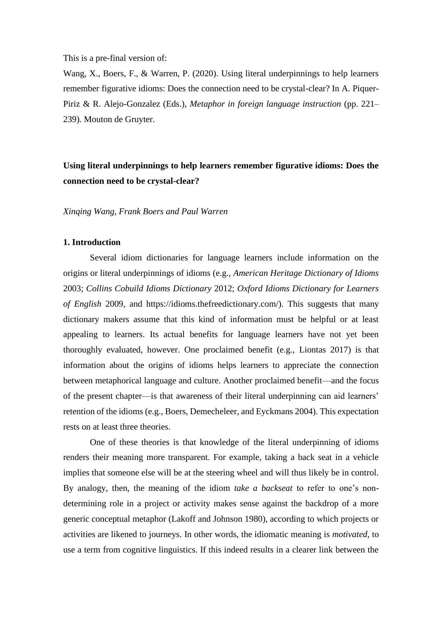This is a pre-final version of:

Wang, X., Boers, F., & Warren, P. (2020). Using literal underpinnings to help learners remember figurative idioms: Does the connection need to be crystal-clear? In A. Piquer-Piriz & R. Alejo-Gonzalez (Eds.), *Metaphor in foreign language instruction* (pp. 221– 239)*.* Mouton de Gruyter.

# **Using literal underpinnings to help learners remember figurative idioms: Does the connection need to be crystal-clear?**

*Xinqing Wang, Frank Boers and Paul Warren*

## **1. Introduction**

Several idiom dictionaries for language learners include information on the origins or literal underpinnings of idioms (e.g., *American Heritage Dictionary of Idioms* 2003; *Collins Cobuild Idioms Dictionary* 2012; *Oxford Idioms Dictionary for Learners of English* 2009, and https://idioms.thefreedictionary.com/). This suggests that many dictionary makers assume that this kind of information must be helpful or at least appealing to learners. Its actual benefits for language learners have not yet been thoroughly evaluated, however. One proclaimed benefit (e.g., Liontas 2017) is that information about the origins of idioms helps learners to appreciate the connection between metaphorical language and culture. Another proclaimed benefit—and the focus of the present chapter—is that awareness of their literal underpinning can aid learners' retention of the idioms (e.g., Boers, Demecheleer, and Eyckmans 2004). This expectation rests on at least three theories.

One of these theories is that knowledge of the literal underpinning of idioms renders their meaning more transparent. For example, taking a back seat in a vehicle implies that someone else will be at the steering wheel and will thus likely be in control. By analogy, then, the meaning of the idiom *take a backseat* to refer to one's nondetermining role in a project or activity makes sense against the backdrop of a more generic conceptual metaphor (Lakoff and Johnson 1980), according to which projects or activities are likened to journeys. In other words, the idiomatic meaning is *motivated*, to use a term from cognitive linguistics. If this indeed results in a clearer link between the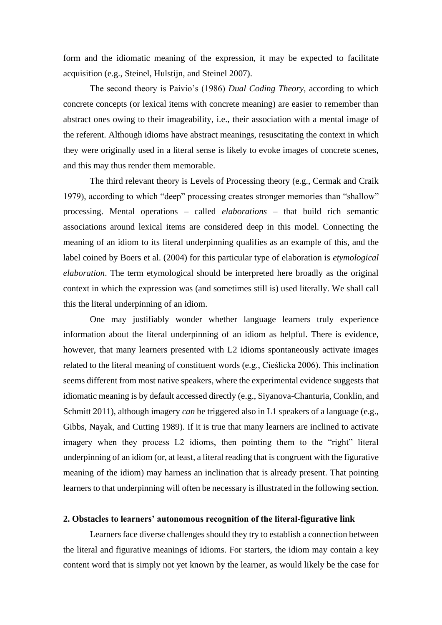form and the idiomatic meaning of the expression, it may be expected to facilitate acquisition (e.g., Steinel, Hulstijn, and Steinel 2007).

The second theory is Paivio's (1986) *Dual Coding Theory*, according to which concrete concepts (or lexical items with concrete meaning) are easier to remember than abstract ones owing to their imageability, i.e., their association with a mental image of the referent. Although idioms have abstract meanings, resuscitating the context in which they were originally used in a literal sense is likely to evoke images of concrete scenes, and this may thus render them memorable.

The third relevant theory is Levels of Processing theory (e.g., Cermak and Craik 1979), according to which "deep" processing creates stronger memories than "shallow" processing. Mental operations – called *elaborations* – that build rich semantic associations around lexical items are considered deep in this model. Connecting the meaning of an idiom to its literal underpinning qualifies as an example of this, and the label coined by Boers et al. (2004) for this particular type of elaboration is *etymological elaboration*. The term etymological should be interpreted here broadly as the original context in which the expression was (and sometimes still is) used literally. We shall call this the literal underpinning of an idiom.

One may justifiably wonder whether language learners truly experience information about the literal underpinning of an idiom as helpful. There is evidence, however, that many learners presented with L2 idioms spontaneously activate images related to the literal meaning of constituent words (e.g., Cieślicka 2006). This inclination seems different from most native speakers, where the experimental evidence suggests that idiomatic meaning is by default accessed directly (e.g., Siyanova-Chanturia, Conklin, and Schmitt 2011), although imagery *can* be triggered also in L1 speakers of a language (e.g., Gibbs, Nayak, and Cutting 1989). If it is true that many learners are inclined to activate imagery when they process L2 idioms, then pointing them to the "right" literal underpinning of an idiom (or, at least, a literal reading that is congruent with the figurative meaning of the idiom) may harness an inclination that is already present. That pointing learners to that underpinning will often be necessary is illustrated in the following section.

#### **2. Obstacles to learners' autonomous recognition of the literal-figurative link**

Learners face diverse challenges should they try to establish a connection between the literal and figurative meanings of idioms. For starters, the idiom may contain a key content word that is simply not yet known by the learner, as would likely be the case for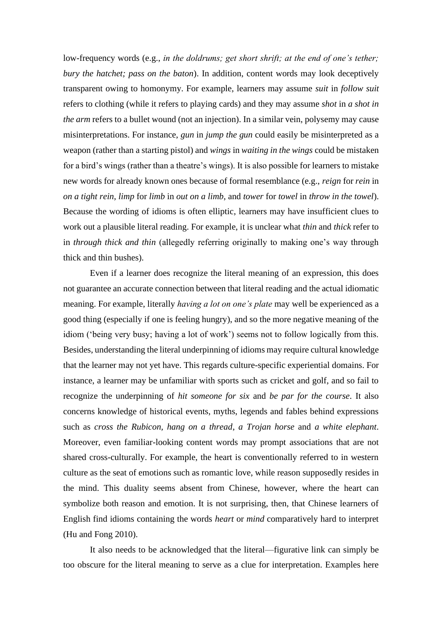low-frequency words (e.g., *in the doldrums; get short shrift; at the end of one's tether; bury the hatchet; pass on the baton*). In addition, content words may look deceptively transparent owing to homonymy. For example, learners may assume *suit* in *follow suit*  refers to clothing (while it refers to playing cards) and they may assume *shot* in *a shot in the arm* refers to a bullet wound (not an injection). In a similar vein, polysemy may cause misinterpretations. For instance, *gun* in *jump the gun* could easily be misinterpreted as a weapon (rather than a starting pistol) and *wings* in *waiting in the wings* could be mistaken for a bird's wings (rather than a theatre's wings). It is also possible for learners to mistake new words for already known ones because of formal resemblance (e.g., *reign* for *rein* in *on a tight rein*, *limp* for *limb* in *out on a limb*, and *tower* for *towel* in *throw in the towel*). Because the wording of idioms is often elliptic, learners may have insufficient clues to work out a plausible literal reading. For example, it is unclear what *thin* and *thick* refer to in *through thick and thin* (allegedly referring originally to making one's way through thick and thin bushes).

Even if a learner does recognize the literal meaning of an expression, this does not guarantee an accurate connection between that literal reading and the actual idiomatic meaning. For example, literally *having a lot on one's plate* may well be experienced as a good thing (especially if one is feeling hungry), and so the more negative meaning of the idiom ('being very busy; having a lot of work') seems not to follow logically from this. Besides, understanding the literal underpinning of idioms may require cultural knowledge that the learner may not yet have. This regards culture-specific experiential domains. For instance, a learner may be unfamiliar with sports such as cricket and golf, and so fail to recognize the underpinning of *hit someone for six* and *be par for the course*. It also concerns knowledge of historical events, myths, legends and fables behind expressions such as *cross the Rubicon, hang on a thread*, *a Trojan horse* and *a white elephant*. Moreover, even familiar-looking content words may prompt associations that are not shared cross-culturally. For example, the heart is conventionally referred to in western culture as the seat of emotions such as romantic love, while reason supposedly resides in the mind. This duality seems absent from Chinese, however, where the heart can symbolize both reason and emotion. It is not surprising, then, that Chinese learners of English find idioms containing the words *heart* or *mind* comparatively hard to interpret (Hu and Fong 2010).

It also needs to be acknowledged that the literal—figurative link can simply be too obscure for the literal meaning to serve as a clue for interpretation. Examples here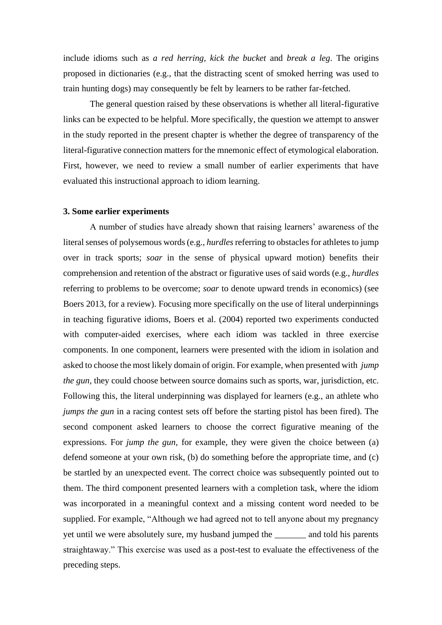include idioms such as *a red herring, kick the bucket* and *break a leg*. The origins proposed in dictionaries (e.g., that the distracting scent of smoked herring was used to train hunting dogs) may consequently be felt by learners to be rather far-fetched.

The general question raised by these observations is whether all literal-figurative links can be expected to be helpful. More specifically, the question we attempt to answer in the study reported in the present chapter is whether the degree of transparency of the literal-figurative connection matters for the mnemonic effect of etymological elaboration. First, however, we need to review a small number of earlier experiments that have evaluated this instructional approach to idiom learning.

#### **3. Some earlier experiments**

A number of studies have already shown that raising learners' awareness of the literal senses of polysemous words (e.g., *hurdles* referring to obstacles for athletes to jump over in track sports; *soar* in the sense of physical upward motion) benefits their comprehension and retention of the abstract or figurative uses of said words (e.g., *hurdles*  referring to problems to be overcome; *soar* to denote upward trends in economics) (see Boers 2013, for a review). Focusing more specifically on the use of literal underpinnings in teaching figurative idioms, Boers et al. (2004) reported two experiments conducted with computer-aided exercises, where each idiom was tackled in three exercise components. In one component, learners were presented with the idiom in isolation and asked to choose the most likely domain of origin. For example, when presented with *jump the gun, they could choose between source domains such as sports, war, jurisdiction, etc.* Following this, the literal underpinning was displayed for learners (e.g., an athlete who *jumps the gun* in a racing contest sets off before the starting pistol has been fired). The second component asked learners to choose the correct figurative meaning of the expressions. For *jump the gun*, for example, they were given the choice between (a) defend someone at your own risk, (b) do something before the appropriate time, and (c) be startled by an unexpected event. The correct choice was subsequently pointed out to them. The third component presented learners with a completion task, where the idiom was incorporated in a meaningful context and a missing content word needed to be supplied. For example, "Although we had agreed not to tell anyone about my pregnancy yet until we were absolutely sure, my husband jumped the \_\_\_\_\_\_\_ and told his parents straightaway." This exercise was used as a post-test to evaluate the effectiveness of the preceding steps.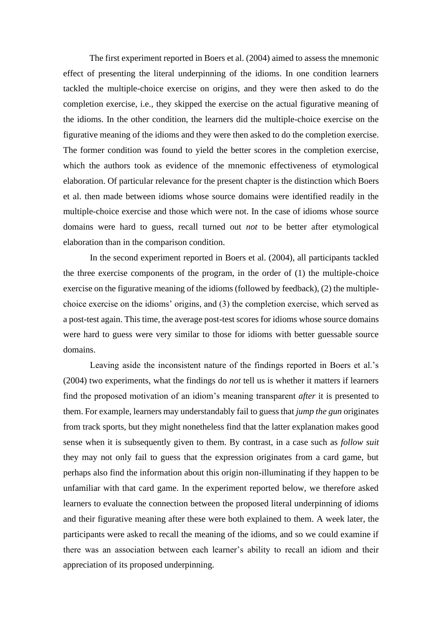The first experiment reported in Boers et al. (2004) aimed to assess the mnemonic effect of presenting the literal underpinning of the idioms. In one condition learners tackled the multiple-choice exercise on origins, and they were then asked to do the completion exercise, i.e., they skipped the exercise on the actual figurative meaning of the idioms. In the other condition, the learners did the multiple-choice exercise on the figurative meaning of the idioms and they were then asked to do the completion exercise. The former condition was found to yield the better scores in the completion exercise, which the authors took as evidence of the mnemonic effectiveness of etymological elaboration. Of particular relevance for the present chapter is the distinction which Boers et al. then made between idioms whose source domains were identified readily in the multiple-choice exercise and those which were not. In the case of idioms whose source domains were hard to guess, recall turned out *not* to be better after etymological elaboration than in the comparison condition.

In the second experiment reported in Boers et al. (2004), all participants tackled the three exercise components of the program, in the order of (1) the multiple-choice exercise on the figurative meaning of the idioms (followed by feedback), (2) the multiplechoice exercise on the idioms' origins, and (3) the completion exercise, which served as a post-test again. This time, the average post-test scores for idioms whose source domains were hard to guess were very similar to those for idioms with better guessable source domains.

Leaving aside the inconsistent nature of the findings reported in Boers et al.'s (2004) two experiments, what the findings do *not* tell us is whether it matters if learners find the proposed motivation of an idiom's meaning transparent *after* it is presented to them. For example, learners may understandably fail to guess that *jump the gun* originates from track sports, but they might nonetheless find that the latter explanation makes good sense when it is subsequently given to them. By contrast, in a case such as *follow suit*  they may not only fail to guess that the expression originates from a card game, but perhaps also find the information about this origin non-illuminating if they happen to be unfamiliar with that card game. In the experiment reported below, we therefore asked learners to evaluate the connection between the proposed literal underpinning of idioms and their figurative meaning after these were both explained to them. A week later, the participants were asked to recall the meaning of the idioms, and so we could examine if there was an association between each learner's ability to recall an idiom and their appreciation of its proposed underpinning.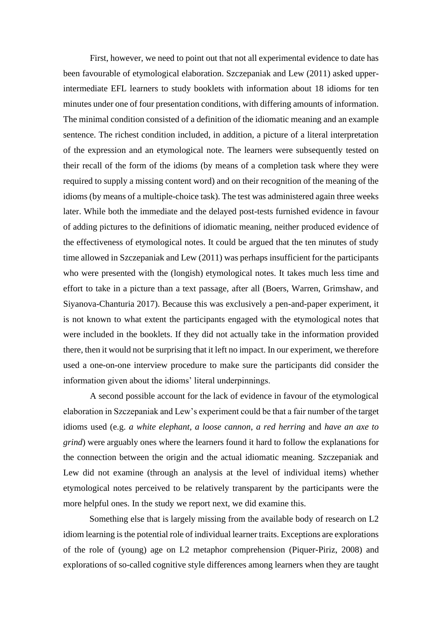First, however, we need to point out that not all experimental evidence to date has been favourable of etymological elaboration. Szczepaniak and Lew (2011) asked upperintermediate EFL learners to study booklets with information about 18 idioms for ten minutes under one of four presentation conditions, with differing amounts of information. The minimal condition consisted of a definition of the idiomatic meaning and an example sentence. The richest condition included, in addition, a picture of a literal interpretation of the expression and an etymological note. The learners were subsequently tested on their recall of the form of the idioms (by means of a completion task where they were required to supply a missing content word) and on their recognition of the meaning of the idioms (by means of a multiple-choice task). The test was administered again three weeks later. While both the immediate and the delayed post-tests furnished evidence in favour of adding pictures to the definitions of idiomatic meaning, neither produced evidence of the effectiveness of etymological notes. It could be argued that the ten minutes of study time allowed in Szczepaniak and Lew (2011) was perhaps insufficient for the participants who were presented with the (longish) etymological notes. It takes much less time and effort to take in a picture than a text passage, after all (Boers, Warren, Grimshaw, and Siyanova-Chanturia 2017). Because this was exclusively a pen-and-paper experiment, it is not known to what extent the participants engaged with the etymological notes that were included in the booklets. If they did not actually take in the information provided there, then it would not be surprising that it left no impact. In our experiment, we therefore used a one-on-one interview procedure to make sure the participants did consider the information given about the idioms' literal underpinnings.

A second possible account for the lack of evidence in favour of the etymological elaboration in Szczepaniak and Lew's experiment could be that a fair number of the target idioms used (e.g. *a white elephant*, *a loose cannon*, *a red herring* and *have an axe to grind*) were arguably ones where the learners found it hard to follow the explanations for the connection between the origin and the actual idiomatic meaning. Szczepaniak and Lew did not examine (through an analysis at the level of individual items) whether etymological notes perceived to be relatively transparent by the participants were the more helpful ones. In the study we report next, we did examine this.

Something else that is largely missing from the available body of research on L2 idiom learning is the potential role of individual learner traits. Exceptions are explorations of the role of (young) age on L2 metaphor comprehension (Piquer-Piriz, 2008) and explorations of so-called cognitive style differences among learners when they are taught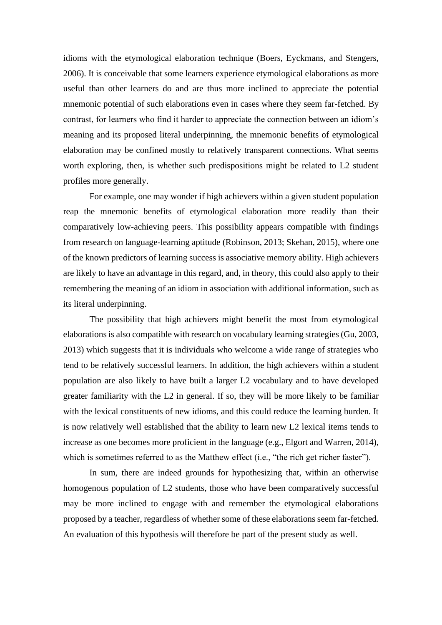idioms with the etymological elaboration technique (Boers, Eyckmans, and Stengers, 2006). It is conceivable that some learners experience etymological elaborations as more useful than other learners do and are thus more inclined to appreciate the potential mnemonic potential of such elaborations even in cases where they seem far-fetched. By contrast, for learners who find it harder to appreciate the connection between an idiom's meaning and its proposed literal underpinning, the mnemonic benefits of etymological elaboration may be confined mostly to relatively transparent connections. What seems worth exploring, then, is whether such predispositions might be related to L2 student profiles more generally.

For example, one may wonder if high achievers within a given student population reap the mnemonic benefits of etymological elaboration more readily than their comparatively low-achieving peers. This possibility appears compatible with findings from research on language-learning aptitude (Robinson, 2013; Skehan, 2015), where one of the known predictors of learning success is associative memory ability. High achievers are likely to have an advantage in this regard, and, in theory, this could also apply to their remembering the meaning of an idiom in association with additional information, such as its literal underpinning.

The possibility that high achievers might benefit the most from etymological elaborations is also compatible with research on vocabulary learning strategies (Gu, 2003, 2013) which suggests that it is individuals who welcome a wide range of strategies who tend to be relatively successful learners. In addition, the high achievers within a student population are also likely to have built a larger L2 vocabulary and to have developed greater familiarity with the L2 in general. If so, they will be more likely to be familiar with the lexical constituents of new idioms, and this could reduce the learning burden. It is now relatively well established that the ability to learn new L2 lexical items tends to increase as one becomes more proficient in the language (e.g., Elgort and Warren, 2014), which is sometimes referred to as the Matthew effect (i.e., "the rich get richer faster").

In sum, there are indeed grounds for hypothesizing that, within an otherwise homogenous population of L2 students, those who have been comparatively successful may be more inclined to engage with and remember the etymological elaborations proposed by a teacher, regardless of whether some of these elaborations seem far-fetched. An evaluation of this hypothesis will therefore be part of the present study as well.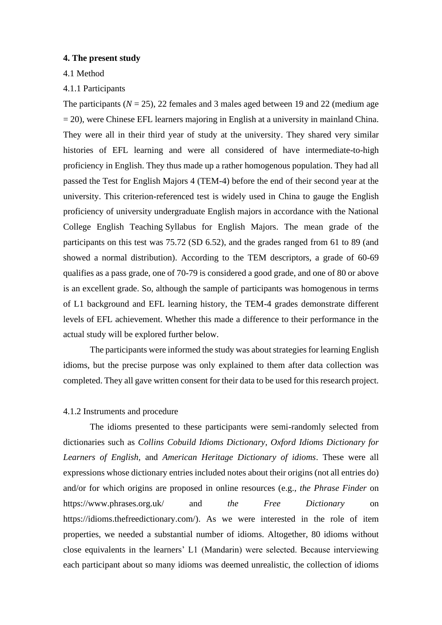#### **4. The present study**

# 4.1 Method

#### 4.1.1 Participants

The participants  $(N = 25)$ , 22 females and 3 males aged between 19 and 22 (medium age  $= 20$ ), were Chinese EFL learners majoring in English at a university in mainland China. They were all in their third year of study at the university. They shared very similar histories of EFL learning and were all considered of have intermediate-to-high proficiency in English. They thus made up a rather homogenous population. They had all passed the Test for English Majors 4 (TEM-4) before the end of their second year at the university. This criterion-referenced test is widely used in China to gauge the English proficiency of university undergraduate English majors in accordance with the National College English Teaching Syllabus for English Majors. The mean grade of the participants on this test was 75.72 (SD 6.52), and the grades ranged from 61 to 89 (and showed a normal distribution). According to the TEM descriptors, a grade of 60-69 qualifies as a pass grade, one of 70-79 is considered a good grade, and one of 80 or above is an excellent grade. So, although the sample of participants was homogenous in terms of L1 background and EFL learning history, the TEM-4 grades demonstrate different levels of EFL achievement. Whether this made a difference to their performance in the actual study will be explored further below.

The participants were informed the study was about strategies for learning English idioms, but the precise purpose was only explained to them after data collection was completed. They all gave written consent for their data to be used for this research project.

#### 4.1.2 Instruments and procedure

The idioms presented to these participants were semi-randomly selected from dictionaries such as *Collins Cobuild Idioms Dictionary*, *Oxford Idioms Dictionary for Learners of English,* and *American Heritage Dictionary of idioms*. These were all expressions whose dictionary entries included notes about their origins (not all entries do) and/or for which origins are proposed in online resources (e.g., *the Phrase Finder* on https://www.phrases.org.uk/ and *the Free Dictionary* on https://idioms.thefreedictionary.com/). As we were interested in the role of item properties, we needed a substantial number of idioms. Altogether, 80 idioms without close equivalents in the learners' L1 (Mandarin) were selected. Because interviewing each participant about so many idioms was deemed unrealistic, the collection of idioms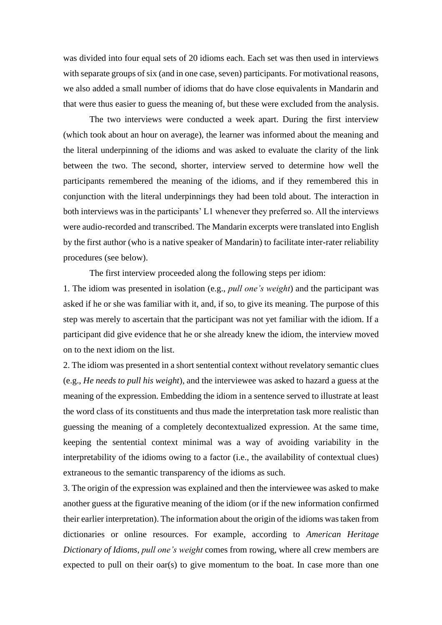was divided into four equal sets of 20 idioms each. Each set was then used in interviews with separate groups of six (and in one case, seven) participants. For motivational reasons, we also added a small number of idioms that do have close equivalents in Mandarin and that were thus easier to guess the meaning of, but these were excluded from the analysis.

The two interviews were conducted a week apart. During the first interview (which took about an hour on average), the learner was informed about the meaning and the literal underpinning of the idioms and was asked to evaluate the clarity of the link between the two. The second, shorter, interview served to determine how well the participants remembered the meaning of the idioms, and if they remembered this in conjunction with the literal underpinnings they had been told about. The interaction in both interviews was in the participants' L1 whenever they preferred so. All the interviews were audio-recorded and transcribed. The Mandarin excerpts were translated into English by the first author (who is a native speaker of Mandarin) to facilitate inter-rater reliability procedures (see below).

The first interview proceeded along the following steps per idiom:

1. The idiom was presented in isolation (e.g., *pull one's weight*) and the participant was asked if he or she was familiar with it, and, if so, to give its meaning. The purpose of this step was merely to ascertain that the participant was not yet familiar with the idiom. If a participant did give evidence that he or she already knew the idiom, the interview moved on to the next idiom on the list.

2. The idiom was presented in a short sentential context without revelatory semantic clues (e.g., *He needs to pull his weight*), and the interviewee was asked to hazard a guess at the meaning of the expression. Embedding the idiom in a sentence served to illustrate at least the word class of its constituents and thus made the interpretation task more realistic than guessing the meaning of a completely decontextualized expression. At the same time, keeping the sentential context minimal was a way of avoiding variability in the interpretability of the idioms owing to a factor (i.e., the availability of contextual clues) extraneous to the semantic transparency of the idioms as such.

3. The origin of the expression was explained and then the interviewee was asked to make another guess at the figurative meaning of the idiom (or if the new information confirmed their earlier interpretation). The information about the origin of the idioms was taken from dictionaries or online resources. For example, according to *American Heritage Dictionary of Idioms*, *pull one's weight* comes from rowing, where all crew members are expected to pull on their oar(s) to give momentum to the boat. In case more than one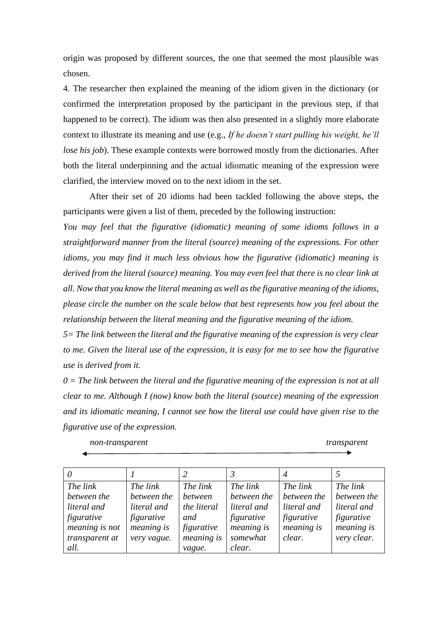origin was proposed by different sources, the one that seemed the most plausible was chosen.

4. The researcher then explained the meaning of the idiom given in the dictionary (or confirmed the interpretation proposed by the participant in the previous step, if that happened to be correct). The idiom was then also presented in a slightly more elaborate context to illustrate its meaning and use (e.g., *If he doesn't start pulling his weight, he'll lose his job*). These example contexts were borrowed mostly from the dictionaries. After both the literal underpinning and the actual idiomatic meaning of the expression were clarified, the interview moved on to the next idiom in the set.

After their set of 20 idioms had been tackled following the above steps, the participants were given a list of them, preceded by the following instruction:

*You may feel that the figurative (idiomatic) meaning of some idioms follows in a straightforward manner from the literal (source) meaning of the expressions. For other idioms, you may find it much less obvious how the figurative (idiomatic) meaning is derived from the literal (source) meaning. You may even feel that there is no clear link at all. Now that you know the literal meaning as well as the figurative meaning of the idioms, please circle the number on the scale below that best represents how you feel about the relationship between the literal meaning and the figurative meaning of the idiom.*

*5= The link between the literal and the figurative meaning of the expression is very clear to me. Given the literal use of the expression, it is easy for me to see how the figurative use is derived from it.*

*0 = The link between the literal and the figurative meaning of the expression is not at all clear to me. Although I (now) know both the literal (source) meaning of the expression and its idiomatic meaning, I cannot see how the literal use could have given rise to the figurative use of the expression.* 

| non-transparent |
|-----------------|
|-----------------|

*non-transparent transparent* 

|                |             | 2           |             | $\overline{4}$ |             |
|----------------|-------------|-------------|-------------|----------------|-------------|
| The link       | The link    | The link    | The link    | The link       | The link    |
| between the    | between the | between     | between the | between the    | between the |
| literal and    | literal and | the literal | literal and | literal and    | literal and |
| figurative     | figurative  | and         | figurative  | figurative     | figurative  |
| meaning is not | meaning is  | figurative  | meaning is  | meaning is     | meaning is  |
| transparent at | very vague. | meaning is  | somewhat    | clear.         | very clear. |
| all.           |             | vague.      | clear.      |                |             |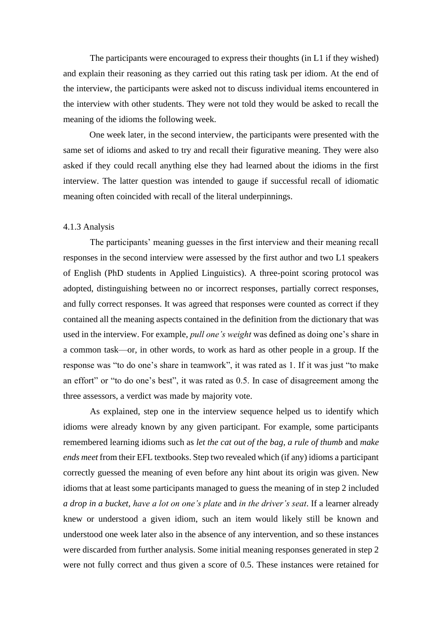The participants were encouraged to express their thoughts (in L1 if they wished) and explain their reasoning as they carried out this rating task per idiom. At the end of the interview, the participants were asked not to discuss individual items encountered in the interview with other students. They were not told they would be asked to recall the meaning of the idioms the following week.

One week later, in the second interview, the participants were presented with the same set of idioms and asked to try and recall their figurative meaning. They were also asked if they could recall anything else they had learned about the idioms in the first interview. The latter question was intended to gauge if successful recall of idiomatic meaning often coincided with recall of the literal underpinnings.

#### 4.1.3 Analysis

The participants' meaning guesses in the first interview and their meaning recall responses in the second interview were assessed by the first author and two L1 speakers of English (PhD students in Applied Linguistics). A three-point scoring protocol was adopted, distinguishing between no or incorrect responses, partially correct responses, and fully correct responses. It was agreed that responses were counted as correct if they contained all the meaning aspects contained in the definition from the dictionary that was used in the interview. For example, *pull one's weight* was defined as doing one's share in a common task—or, in other words, to work as hard as other people in a group. If the response was "to do one's share in teamwork", it was rated as 1. If it was just "to make an effort" or "to do one's best", it was rated as 0.5. In case of disagreement among the three assessors, a verdict was made by majority vote.

As explained, step one in the interview sequence helped us to identify which idioms were already known by any given participant. For example, some participants remembered learning idioms such as *let the cat out of the bag, a rule of thumb* and *make ends meet* from their EFL textbooks. Step two revealed which (if any) idioms a participant correctly guessed the meaning of even before any hint about its origin was given. New idioms that at least some participants managed to guess the meaning of in step 2 included *a drop in a bucket, have a lot on one's plate* and *in the driver's seat*. If a learner already knew or understood a given idiom, such an item would likely still be known and understood one week later also in the absence of any intervention, and so these instances were discarded from further analysis. Some initial meaning responses generated in step 2 were not fully correct and thus given a score of 0.5. These instances were retained for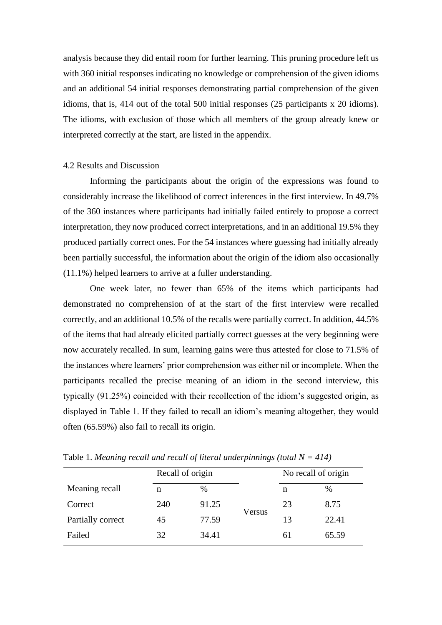analysis because they did entail room for further learning. This pruning procedure left us with 360 initial responses indicating no knowledge or comprehension of the given idioms and an additional 54 initial responses demonstrating partial comprehension of the given idioms, that is, 414 out of the total 500 initial responses (25 participants x 20 idioms). The idioms, with exclusion of those which all members of the group already knew or interpreted correctly at the start, are listed in the appendix.

#### 4.2 Results and Discussion

Informing the participants about the origin of the expressions was found to considerably increase the likelihood of correct inferences in the first interview. In 49.7% of the 360 instances where participants had initially failed entirely to propose a correct interpretation, they now produced correct interpretations, and in an additional 19.5% they produced partially correct ones. For the 54 instances where guessing had initially already been partially successful, the information about the origin of the idiom also occasionally (11.1%) helped learners to arrive at a fuller understanding.

One week later, no fewer than 65% of the items which participants had demonstrated no comprehension of at the start of the first interview were recalled correctly, and an additional 10.5% of the recalls were partially correct. In addition, 44.5% of the items that had already elicited partially correct guesses at the very beginning were now accurately recalled. In sum, learning gains were thus attested for close to 71.5% of the instances where learners' prior comprehension was either nil or incomplete. When the participants recalled the precise meaning of an idiom in the second interview, this typically (91.25%) coincided with their recollection of the idiom's suggested origin, as displayed in Table 1. If they failed to recall an idiom's meaning altogether, they would often (65.59%) also fail to recall its origin.

|                   | Recall of origin |       |        | No recall of origin |       |  |
|-------------------|------------------|-------|--------|---------------------|-------|--|
| Meaning recall    | n                | $\%$  |        | n                   | %     |  |
| Correct           | 240              | 91.25 | Versus | 23                  | 8.75  |  |
| Partially correct | 45               | 77.59 |        | 13                  | 22.41 |  |
| Failed            | 32               | 34.41 |        | 61                  | 65.59 |  |

Table 1. *Meaning recall and recall of literal underpinnings (total N = 414)*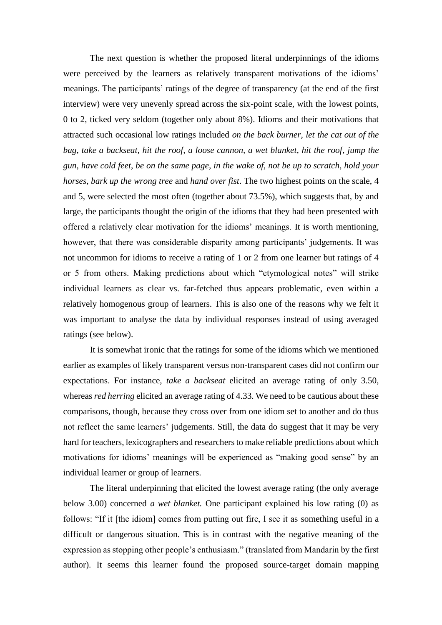The next question is whether the proposed literal underpinnings of the idioms were perceived by the learners as relatively transparent motivations of the idioms' meanings. The participants' ratings of the degree of transparency (at the end of the first interview) were very unevenly spread across the six-point scale, with the lowest points, 0 to 2, ticked very seldom (together only about 8%). Idioms and their motivations that attracted such occasional low ratings included *on the back burner, let the cat out of the bag*, *take a backseat, hit the roof, a loose cannon, a wet blanket, hit the roof*, *jump the gun, have cold feet*, *be on the same page, in the wake of, not be up to scratch, hold your horses, bark up the wrong tree* and *hand over fist*. The two highest points on the scale, 4 and 5, were selected the most often (together about 73.5%), which suggests that, by and large, the participants thought the origin of the idioms that they had been presented with offered a relatively clear motivation for the idioms' meanings. It is worth mentioning, however, that there was considerable disparity among participants' judgements. It was not uncommon for idioms to receive a rating of 1 or 2 from one learner but ratings of 4 or 5 from others. Making predictions about which "etymological notes" will strike individual learners as clear vs. far-fetched thus appears problematic, even within a relatively homogenous group of learners. This is also one of the reasons why we felt it was important to analyse the data by individual responses instead of using averaged ratings (see below).

It is somewhat ironic that the ratings for some of the idioms which we mentioned earlier as examples of likely transparent versus non-transparent cases did not confirm our expectations. For instance, *take a backseat* elicited an average rating of only 3.50, whereas *red herring* elicited an average rating of 4.33. We need to be cautious about these comparisons, though, because they cross over from one idiom set to another and do thus not reflect the same learners' judgements. Still, the data do suggest that it may be very hard for teachers, lexicographers and researchers to make reliable predictions about which motivations for idioms' meanings will be experienced as "making good sense" by an individual learner or group of learners.

The literal underpinning that elicited the lowest average rating (the only average below 3.00) concerned *a wet blanket.* One participant explained his low rating (0) as follows: "If it [the idiom] comes from putting out fire, I see it as something useful in a difficult or dangerous situation. This is in contrast with the negative meaning of the expression as stopping other people's enthusiasm." (translated from Mandarin by the first author). It seems this learner found the proposed source-target domain mapping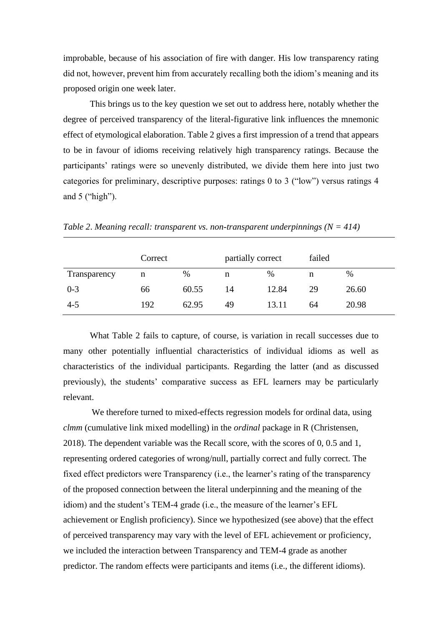improbable, because of his association of fire with danger. His low transparency rating did not, however, prevent him from accurately recalling both the idiom's meaning and its proposed origin one week later.

This brings us to the key question we set out to address here, notably whether the degree of perceived transparency of the literal-figurative link influences the mnemonic effect of etymological elaboration. Table 2 gives a first impression of a trend that appears to be in favour of idioms receiving relatively high transparency ratings. Because the participants' ratings were so unevenly distributed, we divide them here into just two categories for preliminary, descriptive purposes: ratings 0 to 3 ("low") versus ratings 4 and 5 ("high").

|              | Correct |       | partially correct |       | failed |       |
|--------------|---------|-------|-------------------|-------|--------|-------|
| Transparency | n       | $\%$  | n                 | %     | n      | %     |
| $0 - 3$      | 66      | 60.55 | 14                | 12.84 | 29     | 26.60 |
| $4 - 5$      | 192     | 62.95 | 49                | 13.11 | 64     | 20.98 |

*Table 2*. *Meaning recall: transparent vs. non-transparent underpinnings (N = 414)*

What Table 2 fails to capture, of course, is variation in recall successes due to many other potentially influential characteristics of individual idioms as well as characteristics of the individual participants. Regarding the latter (and as discussed previously), the students' comparative success as EFL learners may be particularly relevant.

We therefore turned to mixed-effects regression models for ordinal data, using *clmm* (cumulative link mixed modelling) in the *ordinal* package in R (Christensen, 2018). The dependent variable was the Recall score, with the scores of 0, 0.5 and 1, representing ordered categories of wrong/null, partially correct and fully correct. The fixed effect predictors were Transparency (i.e., the learner's rating of the transparency of the proposed connection between the literal underpinning and the meaning of the idiom) and the student's TEM-4 grade (i.e., the measure of the learner's EFL achievement or English proficiency). Since we hypothesized (see above) that the effect of perceived transparency may vary with the level of EFL achievement or proficiency, we included the interaction between Transparency and TEM-4 grade as another predictor. The random effects were participants and items (i.e., the different idioms).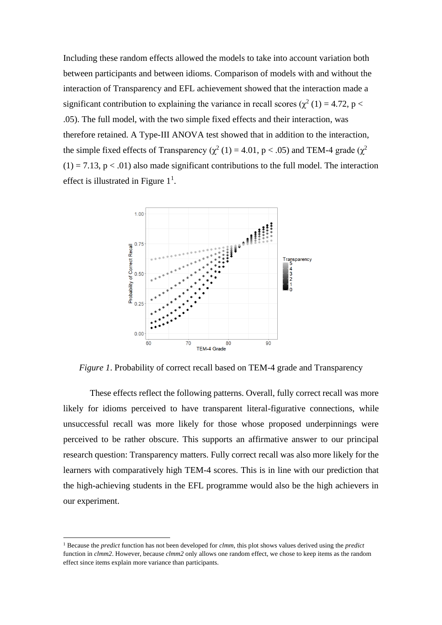Including these random effects allowed the models to take into account variation both between participants and between idioms. Comparison of models with and without the interaction of Transparency and EFL achievement showed that the interaction made a significant contribution to explaining the variance in recall scores ( $\chi^2$  (1) = 4.72, p < .05). The full model, with the two simple fixed effects and their interaction, was therefore retained. A Type-III ANOVA test showed that in addition to the interaction, the simple fixed effects of Transparency ( $\chi^2$  (1) = 4.01, p < .05) and TEM-4 grade ( $\chi^2$  $(1) = 7.13$ ,  $p < .01$ ) also made significant contributions to the full model. The interaction effect is illustrated in Figure  $1<sup>1</sup>$ .



*Figure 1*. Probability of correct recall based on TEM-4 grade and Transparency

These effects reflect the following patterns. Overall, fully correct recall was more likely for idioms perceived to have transparent literal-figurative connections, while unsuccessful recall was more likely for those whose proposed underpinnings were perceived to be rather obscure. This supports an affirmative answer to our principal research question: Transparency matters. Fully correct recall was also more likely for the learners with comparatively high TEM-4 scores. This is in line with our prediction that the high-achieving students in the EFL programme would also be the high achievers in our experiment.

<sup>1</sup> Because the *predict* function has not been developed for *clmm*, this plot shows values derived using the *predict* function in *clmm2*. However, because *clmm2* only allows one random effect, we chose to keep items as the random effect since items explain more variance than participants.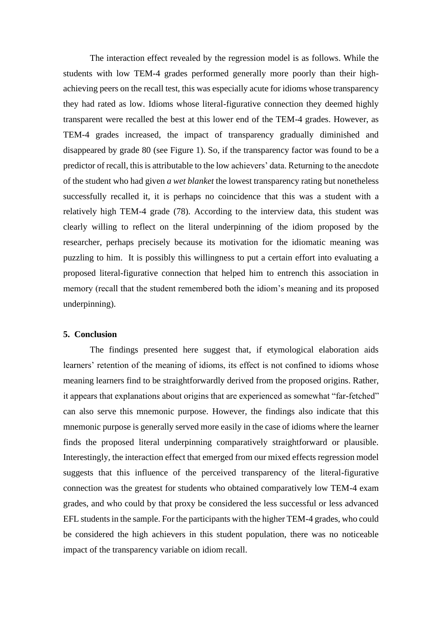The interaction effect revealed by the regression model is as follows. While the students with low TEM-4 grades performed generally more poorly than their highachieving peers on the recall test, this was especially acute for idioms whose transparency they had rated as low. Idioms whose literal-figurative connection they deemed highly transparent were recalled the best at this lower end of the TEM-4 grades. However, as TEM-4 grades increased, the impact of transparency gradually diminished and disappeared by grade 80 (see Figure 1). So, if the transparency factor was found to be a predictor of recall, this is attributable to the low achievers' data. Returning to the anecdote of the student who had given *a wet blanket* the lowest transparency rating but nonetheless successfully recalled it, it is perhaps no coincidence that this was a student with a relatively high TEM-4 grade (78). According to the interview data, this student was clearly willing to reflect on the literal underpinning of the idiom proposed by the researcher, perhaps precisely because its motivation for the idiomatic meaning was puzzling to him. It is possibly this willingness to put a certain effort into evaluating a proposed literal-figurative connection that helped him to entrench this association in memory (recall that the student remembered both the idiom's meaning and its proposed underpinning).

#### **5. Conclusion**

The findings presented here suggest that, if etymological elaboration aids learners' retention of the meaning of idioms, its effect is not confined to idioms whose meaning learners find to be straightforwardly derived from the proposed origins. Rather, it appears that explanations about origins that are experienced as somewhat "far-fetched" can also serve this mnemonic purpose. However, the findings also indicate that this mnemonic purpose is generally served more easily in the case of idioms where the learner finds the proposed literal underpinning comparatively straightforward or plausible. Interestingly, the interaction effect that emerged from our mixed effects regression model suggests that this influence of the perceived transparency of the literal-figurative connection was the greatest for students who obtained comparatively low TEM-4 exam grades, and who could by that proxy be considered the less successful or less advanced EFL students in the sample. For the participants with the higher TEM-4 grades, who could be considered the high achievers in this student population, there was no noticeable impact of the transparency variable on idiom recall.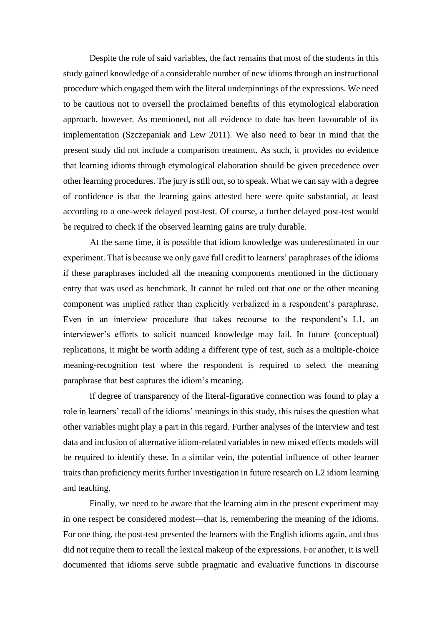Despite the role of said variables, the fact remains that most of the students in this study gained knowledge of a considerable number of new idioms through an instructional procedure which engaged them with the literal underpinnings of the expressions. We need to be cautious not to oversell the proclaimed benefits of this etymological elaboration approach, however. As mentioned, not all evidence to date has been favourable of its implementation (Szczepaniak and Lew 2011). We also need to bear in mind that the present study did not include a comparison treatment. As such, it provides no evidence that learning idioms through etymological elaboration should be given precedence over other learning procedures. The jury is still out, so to speak. What we can say with a degree of confidence is that the learning gains attested here were quite substantial, at least according to a one-week delayed post-test. Of course, a further delayed post-test would be required to check if the observed learning gains are truly durable.

At the same time, it is possible that idiom knowledge was underestimated in our experiment. That is because we only gave full credit to learners' paraphrases of the idioms if these paraphrases included all the meaning components mentioned in the dictionary entry that was used as benchmark. It cannot be ruled out that one or the other meaning component was implied rather than explicitly verbalized in a respondent's paraphrase. Even in an interview procedure that takes recourse to the respondent's L1, an interviewer's efforts to solicit nuanced knowledge may fail. In future (conceptual) replications, it might be worth adding a different type of test, such as a multiple-choice meaning-recognition test where the respondent is required to select the meaning paraphrase that best captures the idiom's meaning.

If degree of transparency of the literal-figurative connection was found to play a role in learners' recall of the idioms' meanings in this study, this raises the question what other variables might play a part in this regard. Further analyses of the interview and test data and inclusion of alternative idiom-related variables in new mixed effects models will be required to identify these. In a similar vein, the potential influence of other learner traits than proficiency merits further investigation in future research on L2 idiom learning and teaching.

Finally, we need to be aware that the learning aim in the present experiment may in one respect be considered modest—that is, remembering the meaning of the idioms. For one thing, the post-test presented the learners with the English idioms again, and thus did not require them to recall the lexical makeup of the expressions. For another, it is well documented that idioms serve subtle pragmatic and evaluative functions in discourse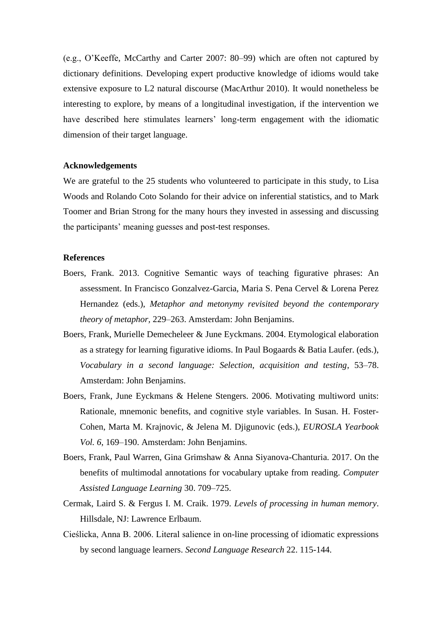(e.g., O'Keeffe, McCarthy and Carter 2007: 80–99) which are often not captured by dictionary definitions. Developing expert productive knowledge of idioms would take extensive exposure to L2 natural discourse (MacArthur 2010). It would nonetheless be interesting to explore, by means of a longitudinal investigation, if the intervention we have described here stimulates learners' long-term engagement with the idiomatic dimension of their target language.

#### **Acknowledgements**

We are grateful to the 25 students who volunteered to participate in this study, to Lisa Woods and Rolando Coto Solando for their advice on inferential statistics, and to Mark Toomer and Brian Strong for the many hours they invested in assessing and discussing the participants' meaning guesses and post-test responses.

#### **References**

- Boers, Frank. 2013. Cognitive Semantic ways of teaching figurative phrases: An assessment. In Francisco Gonzalvez-Garcia, Maria S. Pena Cervel & Lorena Perez Hernandez (eds.), *Metaphor and metonymy revisited beyond the contemporary theory of metaphor,* 229–263. Amsterdam: John Benjamins.
- Boers, Frank, Murielle Demecheleer & June Eyckmans. 2004. Etymological elaboration as a strategy for learning figurative idioms. In Paul Bogaards & Batia Laufer. (eds.), *Vocabulary in a second language: Selection, acquisition and testing*, 53–78. Amsterdam: John Benjamins.
- Boers, Frank, June Eyckmans & Helene Stengers. 2006. Motivating multiword units: Rationale, mnemonic benefits, and cognitive style variables. In Susan. H. Foster-Cohen, Marta M. Krajnovic, & Jelena M. Djigunovic (eds.), *EUROSLA Yearbook Vol. 6*, 169–190. Amsterdam: John Benjamins.
- Boers, Frank, Paul Warren, Gina Grimshaw & Anna Siyanova-Chanturia. 2017. On the benefits of multimodal annotations for vocabulary uptake from reading. *Computer Assisted Language Learning* 30. 709–725.
- Cermak, Laird S. & Fergus I. M. Craik. 1979. *Levels of processing in human memory*. Hillsdale, NJ: Lawrence Erlbaum.
- Cieślicka, Anna B. 2006. Literal salience in on-line processing of idiomatic expressions by second language learners. *Second Language Research* 22. 115-144.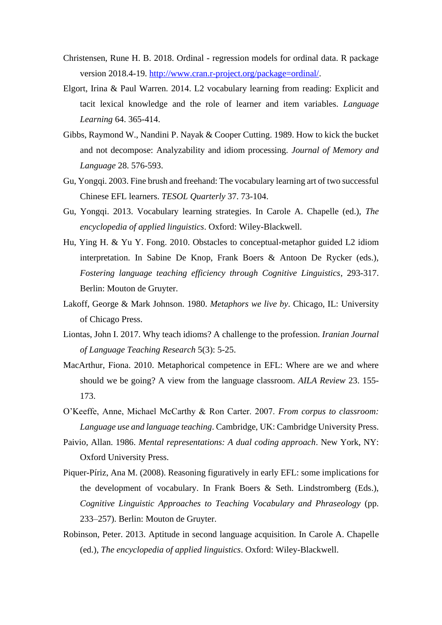- Christensen, Rune H. B. 2018. Ordinal regression models for ordinal data. R package version 2018.4-19. [http://www.cran.r-project.org/package=ordinal/.](http://www.cran.r-project.org/package=ordinal/)
- Elgort, Irina & Paul Warren. 2014. L2 vocabulary learning from reading: Explicit and tacit lexical knowledge and the role of learner and item variables. *Language Learning* 64. 365-414.
- Gibbs, Raymond W., Nandini P. Nayak & Cooper Cutting. 1989. How to kick the bucket and not decompose: Analyzability and idiom processing. *Journal of Memory and Language* 28. 576-593.
- Gu, Yongqi. 2003. Fine brush and freehand: The vocabulary learning art of two successful Chinese EFL learners. *TESOL Quarterly* 37. 73-104.
- Gu, Yongqi. 2013. Vocabulary learning strategies. In Carole A. Chapelle (ed.), *The encyclopedia of applied linguistics*. Oxford: Wiley-Blackwell.
- Hu, Ying H. & Yu Y. Fong. 2010. Obstacles to conceptual-metaphor guided L2 idiom interpretation. In Sabine De Knop, Frank Boers & Antoon De Rycker (eds.), *Fostering language teaching efficiency through Cognitive Linguistics*, 293-317. Berlin: Mouton de Gruyter.
- Lakoff, George & Mark Johnson. 1980. *Metaphors we live by*. Chicago, IL: University of Chicago Press.
- Liontas, John I. 2017. Why teach idioms? A challenge to the profession. *Iranian Journal of Language Teaching Research* 5(3): 5-25.
- MacArthur, Fiona. 2010. Metaphorical competence in EFL: Where are we and where should we be going? A view from the language classroom. *AILA Review* 23. 155- 173.
- O'Keeffe, Anne, Michael McCarthy & Ron Carter. 2007. *From corpus to classroom: Language use and language teaching*. Cambridge, UK: Cambridge University Press.
- Paivio, Allan. 1986. *Mental representations: A dual coding approach*. New York, NY: Oxford University Press.
- Piquer-Píriz, Ana M. (2008). Reasoning figuratively in early EFL: some implications for the development of vocabulary. In Frank Boers & Seth. Lindstromberg (Eds.), *Cognitive Linguistic Approaches to Teaching Vocabulary and Phraseology* (pp. 233–257). Berlin: Mouton de Gruyter.
- Robinson, Peter. 2013. Aptitude in second language acquisition. In Carole A. Chapelle (ed.), *The encyclopedia of applied linguistics*. Oxford: Wiley-Blackwell.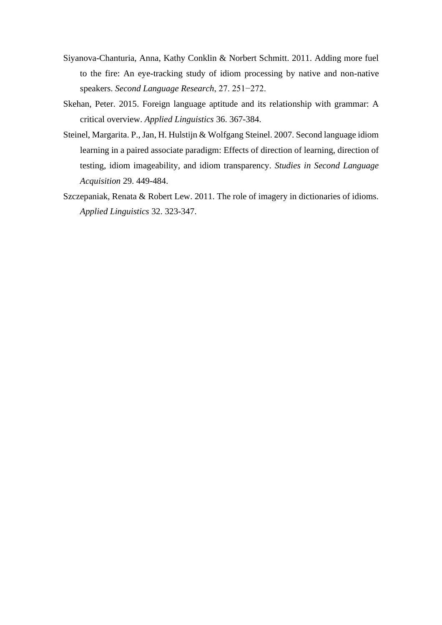- Siyanova-Chanturia, Anna, Kathy Conklin & Norbert Schmitt. 2011. Adding more fuel to the fire: An eye-tracking study of idiom processing by native and non-native speakers. *Second Language Research*, 27. 251−272.
- Skehan, Peter. 2015. Foreign language aptitude and its relationship with grammar: A critical overview. *Applied Linguistics* 36. 367-384.
- Steinel, Margarita. P., Jan, H. Hulstijn & Wolfgang Steinel. 2007. Second language idiom learning in a paired associate paradigm: Effects of direction of learning, direction of testing, idiom imageability, and idiom transparency. *Studies in Second Language Acquisition* 29. 449-484.
- Szczepaniak, Renata & Robert Lew. 2011. The role of imagery in dictionaries of idioms. *Applied Linguistics* 32. 323-347.